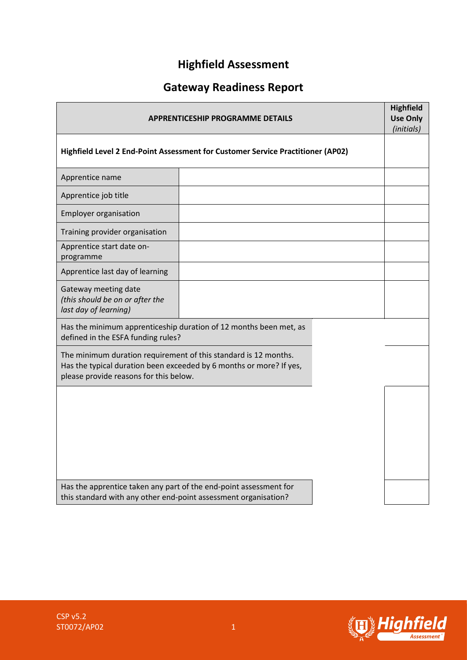# **Highfield Assessment**

# **Gateway Readiness Report**

| <b>APPRENTICESHIP PROGRAMME DETAILS</b>                                                                                                                                          |  |  | <b>Highfield</b><br><b>Use Only</b><br>(initials) |
|----------------------------------------------------------------------------------------------------------------------------------------------------------------------------------|--|--|---------------------------------------------------|
| Highfield Level 2 End-Point Assessment for Customer Service Practitioner (AP02)                                                                                                  |  |  |                                                   |
| Apprentice name                                                                                                                                                                  |  |  |                                                   |
| Apprentice job title                                                                                                                                                             |  |  |                                                   |
| <b>Employer organisation</b>                                                                                                                                                     |  |  |                                                   |
| Training provider organisation                                                                                                                                                   |  |  |                                                   |
| Apprentice start date on-<br>programme                                                                                                                                           |  |  |                                                   |
| Apprentice last day of learning                                                                                                                                                  |  |  |                                                   |
| Gateway meeting date<br>(this should be on or after the<br>last day of learning)                                                                                                 |  |  |                                                   |
| Has the minimum apprenticeship duration of 12 months been met, as<br>defined in the ESFA funding rules?                                                                          |  |  |                                                   |
| The minimum duration requirement of this standard is 12 months.<br>Has the typical duration been exceeded by 6 months or more? If yes,<br>please provide reasons for this below. |  |  |                                                   |
|                                                                                                                                                                                  |  |  |                                                   |
|                                                                                                                                                                                  |  |  |                                                   |
|                                                                                                                                                                                  |  |  |                                                   |
|                                                                                                                                                                                  |  |  |                                                   |
| Has the apprentice taken any part of the end-point assessment for<br>this standard with any other end-point assessment organisation?                                             |  |  |                                                   |

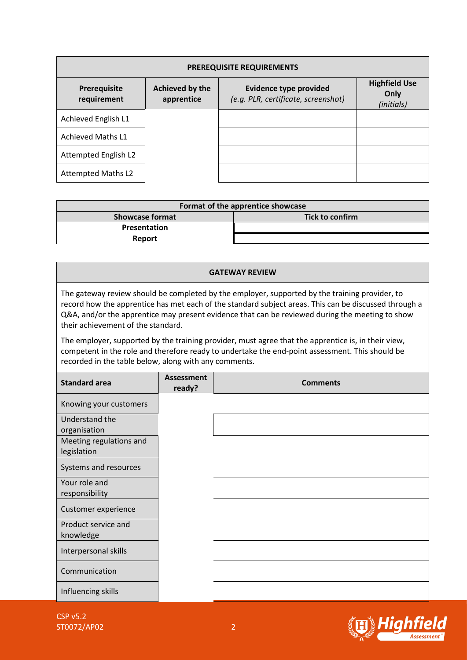| <b>PREREQUISITE REQUIREMENTS</b>   |                               |                                                                      |                                            |  |  |  |
|------------------------------------|-------------------------------|----------------------------------------------------------------------|--------------------------------------------|--|--|--|
| <b>Prerequisite</b><br>requirement | Achieved by the<br>apprentice | <b>Evidence type provided</b><br>(e.g. PLR, certificate, screenshot) | <b>Highfield Use</b><br>Only<br>(initials) |  |  |  |
| Achieved English L1                |                               |                                                                      |                                            |  |  |  |
| <b>Achieved Maths L1</b>           |                               |                                                                      |                                            |  |  |  |
| Attempted English L2               |                               |                                                                      |                                            |  |  |  |
| <b>Attempted Maths L2</b>          |                               |                                                                      |                                            |  |  |  |

| Format of the apprentice showcase |                 |  |  |  |
|-----------------------------------|-----------------|--|--|--|
| <b>Showcase format</b>            | Tick to confirm |  |  |  |
| <b>Presentation</b>               |                 |  |  |  |
| <b>Report</b>                     |                 |  |  |  |

## **GATEWAY REVIEW** The gateway review should be completed by the employer, supported by the training provider, to record how the apprentice has met each of the standard subject areas. This can be discussed through a Q&A, and/or the apprentice may present evidence that can be reviewed during the meeting to show their achievement of the standard. The employer, supported by the training provider, must agree that the apprentice is, in their view, competent in the role and therefore ready to undertake the end-point assessment. This should be recorded in the table below, along with any comments. **Standard area Assessment**<br>**PERIOD: ASSESSMENT ready? Comments** Knowing your customers Understand the organisation Meeting regulations and legislation Systems and resources Your role and responsibility Customer experience Product service and knowledge Interpersonal skills Communication Influencing skills

CSP v5.2 ST0072/AP02 2

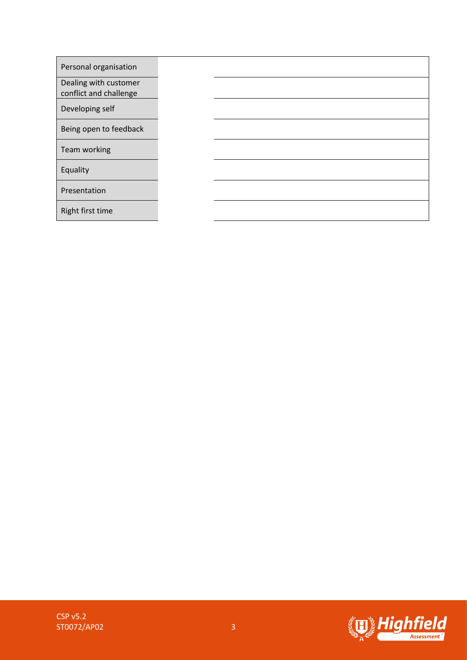| Personal organisation                           |  |
|-------------------------------------------------|--|
| Dealing with customer<br>conflict and challenge |  |
| Developing self                                 |  |
| Being open to feedback                          |  |
| Team working                                    |  |
| Equality                                        |  |
| Presentation                                    |  |
| Right first time                                |  |

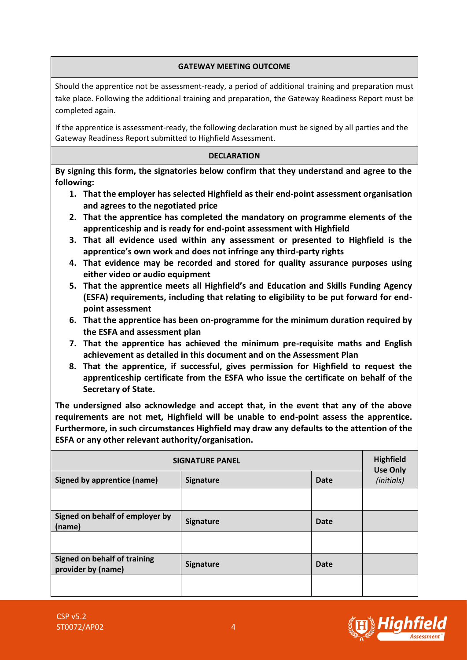### **GATEWAY MEETING OUTCOME**

Should the apprentice not be assessment-ready, a period of additional training and preparation must take place. Following the additional training and preparation, the Gateway Readiness Report must be completed again.

If the apprentice is assessment-ready, the following declaration must be signed by all parties and the Gateway Readiness Report submitted to Highfield Assessment.

#### **DECLARATION**

**By signing this form, the signatories below confirm that they understand and agree to the following:**

- **1. That the employer has selected Highfield as their end-point assessment organisation and agrees to the negotiated price**
- **2. That the apprentice has completed the mandatory on programme elements of the apprenticeship and is ready for end-point assessment with Highfield**
- **3. That all evidence used within any assessment or presented to Highfield is the apprentice's own work and does not infringe any third-party rights**
- **4. That evidence may be recorded and stored for quality assurance purposes using either video or audio equipment**
- **5. That the apprentice meets all Highfield's and Education and Skills Funding Agency (ESFA) requirements, including that relating to eligibility to be put forward for endpoint assessment**
- **6. That the apprentice has been on-programme for the minimum duration required by the ESFA and assessment plan**
- **7. That the apprentice has achieved the minimum pre-requisite maths and English achievement as detailed in this document and on the Assessment Plan**
- **8. That the apprentice, if successful, gives permission for Highfield to request the apprenticeship certificate from the ESFA who issue the certificate on behalf of the Secretary of State.**

**The undersigned also acknowledge and accept that, in the event that any of the above requirements are not met, Highfield will be unable to end-point assess the apprentice. Furthermore, in such circumstances Highfield may draw any defaults to the attention of the ESFA or any other relevant authority/organisation.**

| <b>SIGNATURE PANEL</b>                             |                          |      |                               |
|----------------------------------------------------|--------------------------|------|-------------------------------|
| Signed by apprentice (name)                        | <b>Signature</b><br>Date |      | <b>Use Only</b><br>(initials) |
|                                                    |                          |      |                               |
| Signed on behalf of employer by<br>(name)          | <b>Signature</b>         | Date |                               |
|                                                    |                          |      |                               |
| Signed on behalf of training<br>provider by (name) | <b>Signature</b>         | Date |                               |
|                                                    |                          |      |                               |